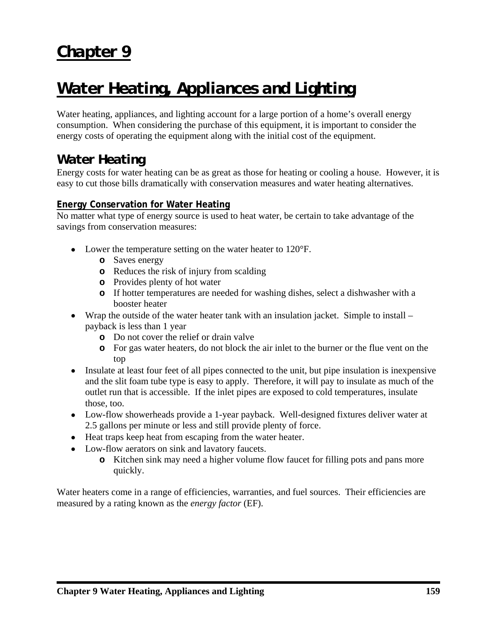# *Chapter 9*

# *Water Heating, Appliances and Lighting*

Water heating, appliances, and lighting account for a large portion of a home's overall energy consumption. When considering the purchase of this equipment, it is important to consider the energy costs of operating the equipment along with the initial cost of the equipment.

# *Water Heating*

Energy costs for water heating can be as great as those for heating or cooling a house. However, it is easy to cut those bills dramatically with conservation measures and water heating alternatives.

## **Energy Conservation for Water Heating**

No matter what type of energy source is used to heat water, be certain to take advantage of the savings from conservation measures:

- Lower the temperature setting on the water heater to 120°F.
	- **o** Saves energy
	- **o** Reduces the risk of injury from scalding
	- **o** Provides plenty of hot water
	- **o** If hotter temperatures are needed for washing dishes, select a dishwasher with a booster heater
- Wrap the outside of the water heater tank with an insulation jacket. Simple to install payback is less than 1 year
	- **o** Do not cover the relief or drain valve
	- **o** For gas water heaters, do not block the air inlet to the burner or the flue vent on the top
- Insulate at least four feet of all pipes connected to the unit, but pipe insulation is inexpensive and the slit foam tube type is easy to apply. Therefore, it will pay to insulate as much of the outlet run that is accessible. If the inlet pipes are exposed to cold temperatures, insulate those, too.
- Low-flow showerheads provide a 1-year payback. Well-designed fixtures deliver water at 2.5 gallons per minute or less and still provide plenty of force.
- Heat traps keep heat from escaping from the water heater.
- Low-flow aerators on sink and lavatory faucets.
	- **o** Kitchen sink may need a higher volume flow faucet for filling pots and pans more quickly.

Water heaters come in a range of efficiencies, warranties, and fuel sources. Their efficiencies are measured by a rating known as the *energy factor* (EF).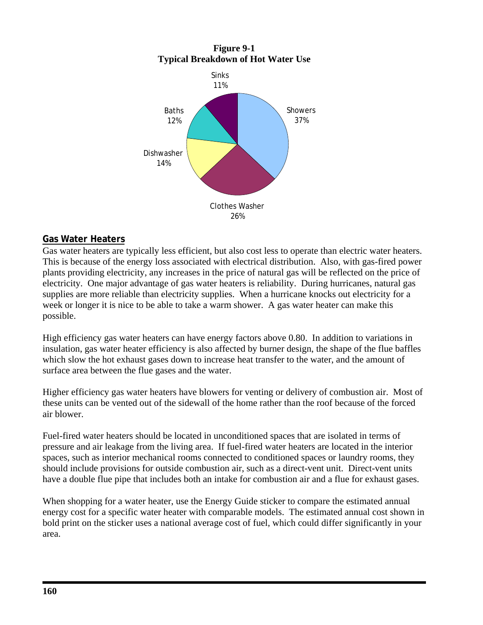

#### **Gas Water Heaters**

Gas water heaters are typically less efficient, but also cost less to operate than electric water heaters. This is because of the energy loss associated with electrical distribution. Also, with gas-fired power plants providing electricity, any increases in the price of natural gas will be reflected on the price of electricity. One major advantage of gas water heaters is reliability. During hurricanes, natural gas supplies are more reliable than electricity supplies. When a hurricane knocks out electricity for a week or longer it is nice to be able to take a warm shower. A gas water heater can make this possible.

High efficiency gas water heaters can have energy factors above 0.80. In addition to variations in insulation, gas water heater efficiency is also affected by burner design, the shape of the flue baffles which slow the hot exhaust gases down to increase heat transfer to the water, and the amount of surface area between the flue gases and the water.

Higher efficiency gas water heaters have blowers for venting or delivery of combustion air. Most of these units can be vented out of the sidewall of the home rather than the roof because of the forced air blower.

Fuel-fired water heaters should be located in unconditioned spaces that are isolated in terms of pressure and air leakage from the living area. If fuel-fired water heaters are located in the interior spaces, such as interior mechanical rooms connected to conditioned spaces or laundry rooms, they should include provisions for outside combustion air, such as a direct-vent unit. Direct-vent units have a double flue pipe that includes both an intake for combustion air and a flue for exhaust gases.

When shopping for a water heater, use the Energy Guide sticker to compare the estimated annual energy cost for a specific water heater with comparable models. The estimated annual cost shown in bold print on the sticker uses a national average cost of fuel, which could differ significantly in your area.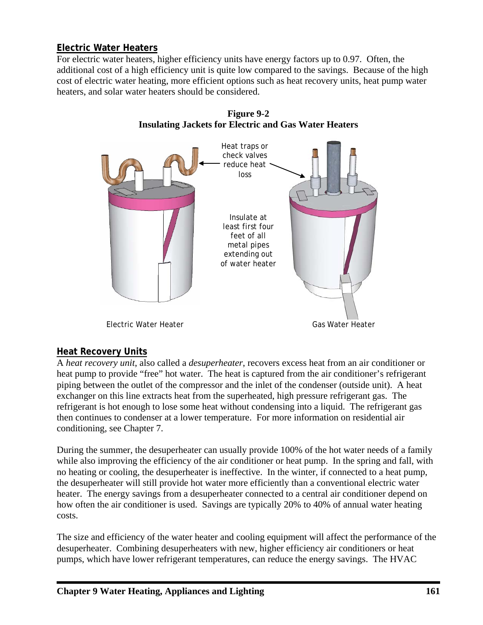## **Electric Water Heaters**

For electric water heaters, higher efficiency units have energy factors up to 0.97. Often, the additional cost of a high efficiency unit is quite low compared to the savings. Because of the high cost of electric water heating, more efficient options such as heat recovery units, heat pump water heaters, and solar water heaters should be considered.





#### **Heat Recovery Units**

A *heat recovery unit*, also called a *desuperheater*, recovers excess heat from an air conditioner or heat pump to provide "free" hot water. The heat is captured from the air conditioner's refrigerant piping between the outlet of the compressor and the inlet of the condenser (outside unit). A heat exchanger on this line extracts heat from the superheated, high pressure refrigerant gas. The refrigerant is hot enough to lose some heat without condensing into a liquid. The refrigerant gas then continues to condenser at a lower temperature. For more information on residential air conditioning, see Chapter 7.

During the summer, the desuperheater can usually provide 100% of the hot water needs of a family while also improving the efficiency of the air conditioner or heat pump. In the spring and fall, with no heating or cooling, the desuperheater is ineffective. In the winter, if connected to a heat pump, the desuperheater will still provide hot water more efficiently than a conventional electric water heater. The energy savings from a desuperheater connected to a central air conditioner depend on how often the air conditioner is used. Savings are typically 20% to 40% of annual water heating costs.

The size and efficiency of the water heater and cooling equipment will affect the performance of the desuperheater. Combining desuperheaters with new, higher efficiency air conditioners or heat pumps, which have lower refrigerant temperatures, can reduce the energy savings. The HVAC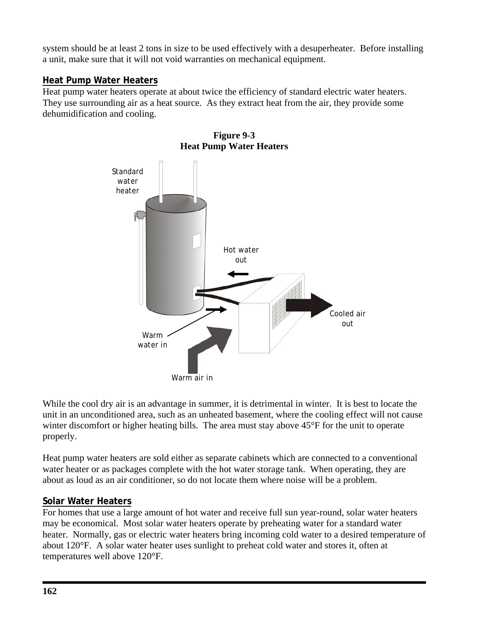system should be at least 2 tons in size to be used effectively with a desuperheater. Before installing a unit, make sure that it will not void warranties on mechanical equipment.

### **Heat Pump Water Heaters**

Heat pump water heaters operate at about twice the efficiency of standard electric water heaters. They use surrounding air as a heat source. As they extract heat from the air, they provide some dehumidification and cooling.



**Figure 9-3 Heat Pump Water Heaters** 

While the cool dry air is an advantage in summer, it is detrimental in winter. It is best to locate the unit in an unconditioned area, such as an unheated basement, where the cooling effect will not cause winter discomfort or higher heating bills. The area must stay above  $45^{\circ}$ F for the unit to operate properly.

Heat pump water heaters are sold either as separate cabinets which are connected to a conventional water heater or as packages complete with the hot water storage tank. When operating, they are about as loud as an air conditioner, so do not locate them where noise will be a problem.

#### **Solar Water Heaters**

For homes that use a large amount of hot water and receive full sun year-round, solar water heaters may be economical. Most solar water heaters operate by preheating water for a standard water heater. Normally, gas or electric water heaters bring incoming cold water to a desired temperature of about 120°F. A solar water heater uses sunlight to preheat cold water and stores it, often at temperatures well above 120°F.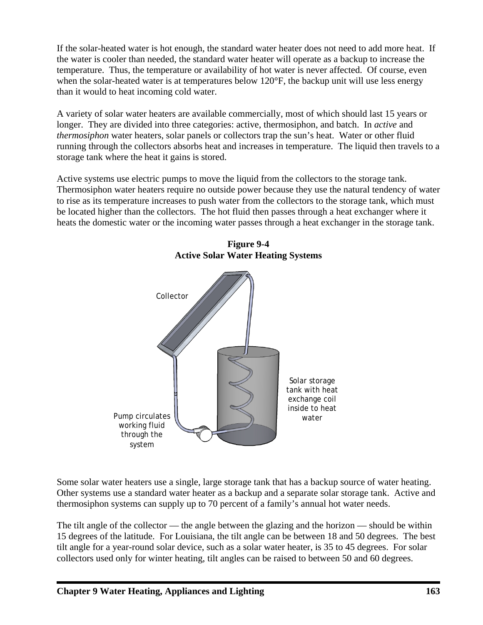If the solar-heated water is hot enough, the standard water heater does not need to add more heat. If the water is cooler than needed, the standard water heater will operate as a backup to increase the temperature. Thus, the temperature or availability of hot water is never affected. Of course, even when the solar-heated water is at temperatures below 120°F, the backup unit will use less energy than it would to heat incoming cold water.

A variety of solar water heaters are available commercially, most of which should last 15 years or longer. They are divided into three categories: active, thermosiphon, and batch. In *active* and *thermosiphon* water heaters, solar panels or collectors trap the sun's heat. Water or other fluid running through the collectors absorbs heat and increases in temperature. The liquid then travels to a storage tank where the heat it gains is stored.

Active systems use electric pumps to move the liquid from the collectors to the storage tank. Thermosiphon water heaters require no outside power because they use the natural tendency of water to rise as its temperature increases to push water from the collectors to the storage tank, which must be located higher than the collectors. The hot fluid then passes through a heat exchanger where it heats the domestic water or the incoming water passes through a heat exchanger in the storage tank.



**Figure 9-4 Active Solar Water Heating Systems** 

Some solar water heaters use a single, large storage tank that has a backup source of water heating. Other systems use a standard water heater as a backup and a separate solar storage tank. Active and thermosiphon systems can supply up to 70 percent of a family's annual hot water needs.

The tilt angle of the collector — the angle between the glazing and the horizon — should be within 15 degrees of the latitude. For Louisiana, the tilt angle can be between 18 and 50 degrees. The best tilt angle for a year-round solar device, such as a solar water heater, is 35 to 45 degrees. For solar collectors used only for winter heating, tilt angles can be raised to between 50 and 60 degrees.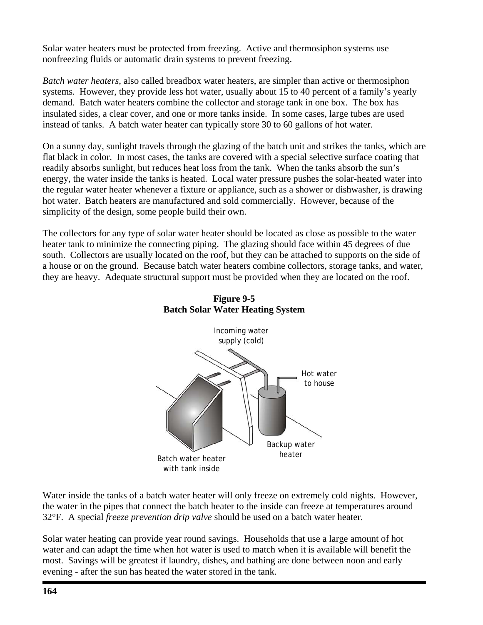Solar water heaters must be protected from freezing. Active and thermosiphon systems use nonfreezing fluids or automatic drain systems to prevent freezing.

*Batch water heaters*, also called breadbox water heaters, are simpler than active or thermosiphon systems. However, they provide less hot water, usually about 15 to 40 percent of a family's yearly demand. Batch water heaters combine the collector and storage tank in one box. The box has insulated sides, a clear cover, and one or more tanks inside. In some cases, large tubes are used instead of tanks. A batch water heater can typically store 30 to 60 gallons of hot water.

On a sunny day, sunlight travels through the glazing of the batch unit and strikes the tanks, which are flat black in color. In most cases, the tanks are covered with a special selective surface coating that readily absorbs sunlight, but reduces heat loss from the tank. When the tanks absorb the sun's energy, the water inside the tanks is heated. Local water pressure pushes the solar-heated water into the regular water heater whenever a fixture or appliance, such as a shower or dishwasher, is drawing hot water. Batch heaters are manufactured and sold commercially. However, because of the simplicity of the design, some people build their own.

The collectors for any type of solar water heater should be located as close as possible to the water heater tank to minimize the connecting piping. The glazing should face within 45 degrees of due south. Collectors are usually located on the roof, but they can be attached to supports on the side of a house or on the ground. Because batch water heaters combine collectors, storage tanks, and water, they are heavy. Adequate structural support must be provided when they are located on the roof.



#### **Figure 9-5 Batch Solar Water Heating System**

Water inside the tanks of a batch water heater will only freeze on extremely cold nights. However, the water in the pipes that connect the batch heater to the inside can freeze at temperatures around 32°F. A special *freeze prevention drip valve* should be used on a batch water heater.

Solar water heating can provide year round savings. Households that use a large amount of hot water and can adapt the time when hot water is used to match when it is available will benefit the most. Savings will be greatest if laundry, dishes, and bathing are done between noon and early evening - after the sun has heated the water stored in the tank.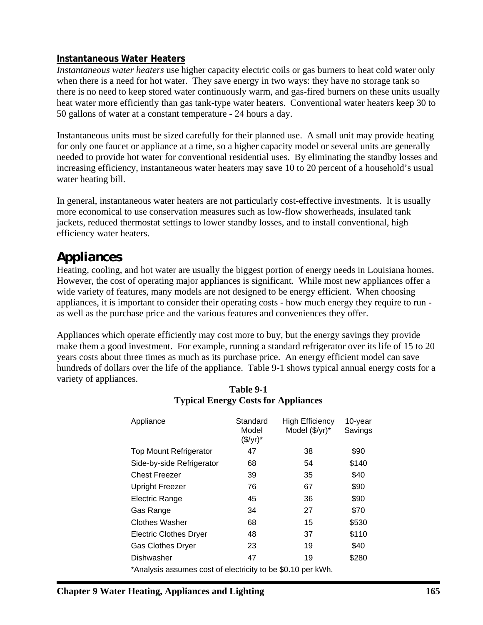#### **Instantaneous Water Heaters**

*Instantaneous water heaters* use higher capacity electric coils or gas burners to heat cold water only when there is a need for hot water. They save energy in two ways: they have no storage tank so there is no need to keep stored water continuously warm, and gas-fired burners on these units usually heat water more efficiently than gas tank-type water heaters. Conventional water heaters keep 30 to 50 gallons of water at a constant temperature - 24 hours a day.

Instantaneous units must be sized carefully for their planned use. A small unit may provide heating for only one faucet or appliance at a time, so a higher capacity model or several units are generally needed to provide hot water for conventional residential uses. By eliminating the standby losses and increasing efficiency, instantaneous water heaters may save 10 to 20 percent of a household's usual water heating bill.

In general, instantaneous water heaters are not particularly cost-effective investments. It is usually more economical to use conservation measures such as low-flow showerheads, insulated tank jackets, reduced thermostat settings to lower standby losses, and to install conventional, high efficiency water heaters.

# *Appliances*

Heating, cooling, and hot water are usually the biggest portion of energy needs in Louisiana homes. However, the cost of operating major appliances is significant. While most new appliances offer a wide variety of features, many models are not designed to be energy efficient. When choosing appliances, it is important to consider their operating costs - how much energy they require to run as well as the purchase price and the various features and conveniences they offer.

Appliances which operate efficiently may cost more to buy, but the energy savings they provide make them a good investment. For example, running a standard refrigerator over its life of 15 to 20 years costs about three times as much as its purchase price. An energy efficient model can save hundreds of dollars over the life of the appliance. Table 9-1 shows typical annual energy costs for a variety of appliances.

| Appliance                                                   | Standard<br>Model<br>(\$/yr)* | <b>High Efficiency</b><br>Model (\$/yr)* | 10-year<br>Savings |  |  |  |  |
|-------------------------------------------------------------|-------------------------------|------------------------------------------|--------------------|--|--|--|--|
| <b>Top Mount Refrigerator</b>                               | 47                            | 38                                       | \$90               |  |  |  |  |
| Side-by-side Refrigerator                                   | 68                            | 54                                       | \$140              |  |  |  |  |
| <b>Chest Freezer</b>                                        | 39                            | 35                                       | \$40               |  |  |  |  |
| <b>Upright Freezer</b>                                      | 76                            | 67                                       | \$90               |  |  |  |  |
| Electric Range                                              | 45                            | 36                                       | \$90               |  |  |  |  |
| Gas Range                                                   | 34                            | 27                                       | \$70               |  |  |  |  |
| Clothes Washer                                              | 68                            | 15                                       | \$530              |  |  |  |  |
| <b>Electric Clothes Dryer</b>                               | 48                            | 37                                       | \$110              |  |  |  |  |
| <b>Gas Clothes Dryer</b>                                    | 23                            | 19                                       | \$40               |  |  |  |  |
| Dishwasher                                                  | 47                            | 19                                       | \$280              |  |  |  |  |
| *Analysis assumes cost of electricity to be \$0.10 per kWh. |                               |                                          |                    |  |  |  |  |

#### **Table 9-1 Typical Energy Costs for Appliances**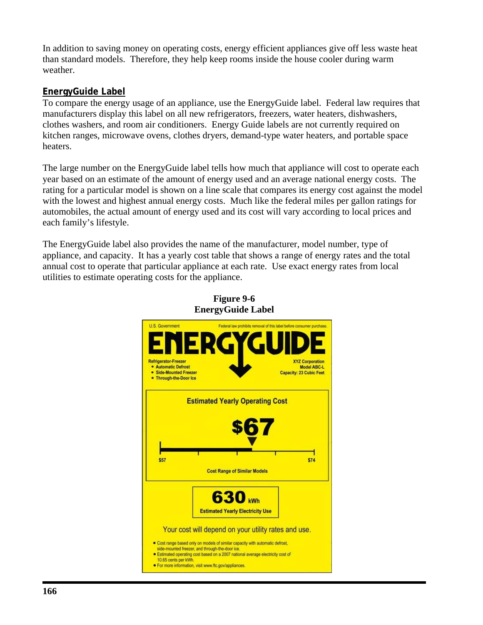In addition to saving money on operating costs, energy efficient appliances give off less waste heat than standard models. Therefore, they help keep rooms inside the house cooler during warm weather.

#### **EnergyGuide Label**

To compare the energy usage of an appliance, use the EnergyGuide label. Federal law requires that manufacturers display this label on all new refrigerators, freezers, water heaters, dishwashers, clothes washers, and room air conditioners. Energy Guide labels are not currently required on kitchen ranges, microwave ovens, clothes dryers, demand-type water heaters, and portable space heaters.

The large number on the EnergyGuide label tells how much that appliance will cost to operate each year based on an estimate of the amount of energy used and an average national energy costs. The rating for a particular model is shown on a line scale that compares its energy cost against the model with the lowest and highest annual energy costs. Much like the federal miles per gallon ratings for automobiles, the actual amount of energy used and its cost will vary according to local prices and each family's lifestyle.

The EnergyGuide label also provides the name of the manufacturer, model number, type of appliance, and capacity. It has a yearly cost table that shows a range of energy rates and the total annual cost to operate that particular appliance at each rate. Use exact energy rates from local utilities to estimate operating costs for the appliance.



**Figure 9-6 EnergyGuide Label**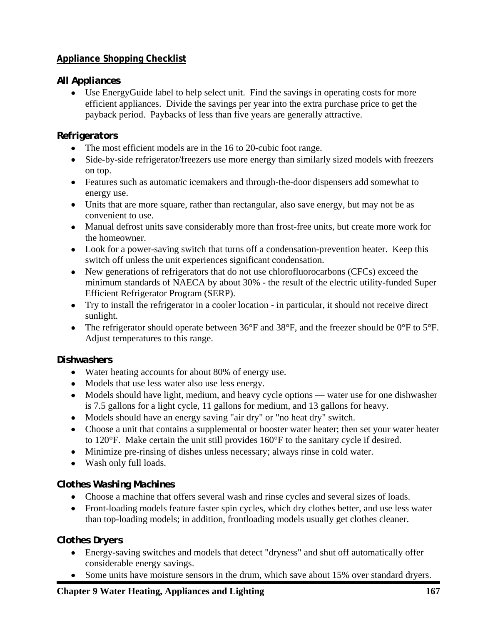## **Appliance Shopping Checklist**

### *All Appliances*

• Use EnergyGuide label to help select unit. Find the savings in operating costs for more efficient appliances. Divide the savings per year into the extra purchase price to get the payback period. Paybacks of less than five years are generally attractive.

# *Refrigerators*

- The most efficient models are in the 16 to 20-cubic foot range.
- Side-by-side refrigerator/freezers use more energy than similarly sized models with freezers on top.
- Features such as automatic icemakers and through-the-door dispensers add somewhat to energy use.
- Units that are more square, rather than rectangular, also save energy, but may not be as convenient to use.
- Manual defrost units save considerably more than frost-free units, but create more work for the homeowner.
- Look for a power-saving switch that turns off a condensation-prevention heater. Keep this switch off unless the unit experiences significant condensation.
- New generations of refrigerators that do not use chlorofluorocarbons (CFCs) exceed the minimum standards of NAECA by about 30% - the result of the electric utility-funded Super Efficient Refrigerator Program (SERP).
- Try to install the refrigerator in a cooler location in particular, it should not receive direct sunlight.
- The refrigerator should operate between 36°F and 38°F, and the freezer should be 0°F to 5°F. Adjust temperatures to this range.

# *Dishwashers*

- Water heating accounts for about 80% of energy use.
- Models that use less water also use less energy.
- Models should have light, medium, and heavy cycle options water use for one dishwasher is 7.5 gallons for a light cycle, 11 gallons for medium, and 13 gallons for heavy.
- Models should have an energy saving "air dry" or "no heat dry" switch.
- Choose a unit that contains a supplemental or booster water heater; then set your water heater to 120°F. Make certain the unit still provides 160°F to the sanitary cycle if desired.
- Minimize pre-rinsing of dishes unless necessary; always rinse in cold water.
- Wash only full loads.

# *Clothes Washing Machines*

- Choose a machine that offers several wash and rinse cycles and several sizes of loads.
- Front-loading models feature faster spin cycles, which dry clothes better, and use less water than top-loading models; in addition, frontloading models usually get clothes cleaner.

# *Clothes Dryers*

- Energy-saving switches and models that detect "dryness" and shut off automatically offer considerable energy savings.
- Some units have moisture sensors in the drum, which save about 15% over standard dryers.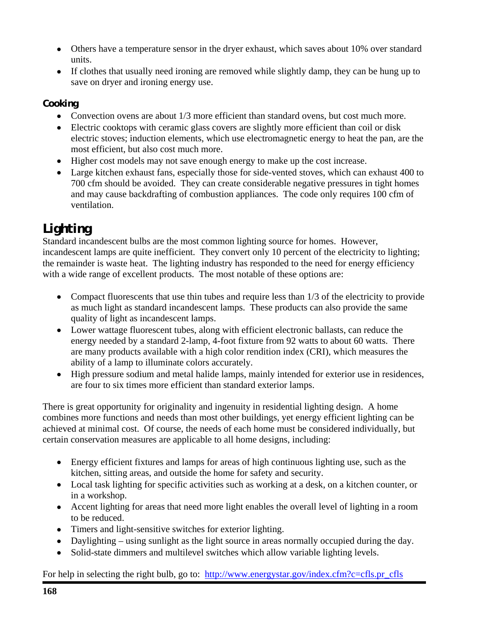- Others have a temperature sensor in the dryer exhaust, which saves about 10% over standard units.
- If clothes that usually need ironing are removed while slightly damp, they can be hung up to save on dryer and ironing energy use.

## *Cooking*

- Convection ovens are about  $1/3$  more efficient than standard ovens, but cost much more.
- Electric cooktops with ceramic glass covers are slightly more efficient than coil or disk electric stoves; induction elements, which use electromagnetic energy to heat the pan, are the most efficient, but also cost much more.
- Higher cost models may not save enough energy to make up the cost increase.
- Large kitchen exhaust fans, especially those for side-vented stoves, which can exhaust 400 to 700 cfm should be avoided. They can create considerable negative pressures in tight homes and may cause backdrafting of combustion appliances. The code only requires 100 cfm of ventilation.

# *Lighting*

Standard incandescent bulbs are the most common lighting source for homes. However, incandescent lamps are quite inefficient. They convert only 10 percent of the electricity to lighting; the remainder is waste heat. The lighting industry has responded to the need for energy efficiency with a wide range of excellent products. The most notable of these options are:

- Compact fluorescents that use thin tubes and require less than 1/3 of the electricity to provide as much light as standard incandescent lamps. These products can also provide the same quality of light as incandescent lamps.
- Lower wattage fluorescent tubes, along with efficient electronic ballasts, can reduce the energy needed by a standard 2-lamp, 4-foot fixture from 92 watts to about 60 watts. There are many products available with a high color rendition index (CRI), which measures the ability of a lamp to illuminate colors accurately.
- High pressure sodium and metal halide lamps, mainly intended for exterior use in residences, are four to six times more efficient than standard exterior lamps.

There is great opportunity for originality and ingenuity in residential lighting design. A home combines more functions and needs than most other buildings, yet energy efficient lighting can be achieved at minimal cost. Of course, the needs of each home must be considered individually, but certain conservation measures are applicable to all home designs, including:

- Energy efficient fixtures and lamps for areas of high continuous lighting use, such as the kitchen, sitting areas, and outside the home for safety and security.
- Local task lighting for specific activities such as working at a desk, on a kitchen counter, or in a workshop.
- Accent lighting for areas that need more light enables the overall level of lighting in a room to be reduced.
- Timers and light-sensitive switches for exterior lighting.
- Daylighting using sunlight as the light source in areas normally occupied during the day.
- Solid-state dimmers and multilevel switches which allow variable lighting levels.

For help in selecting the right bulb, go to: http://www.energystar.gov/index.cfm?c=cfls.pr\_cfls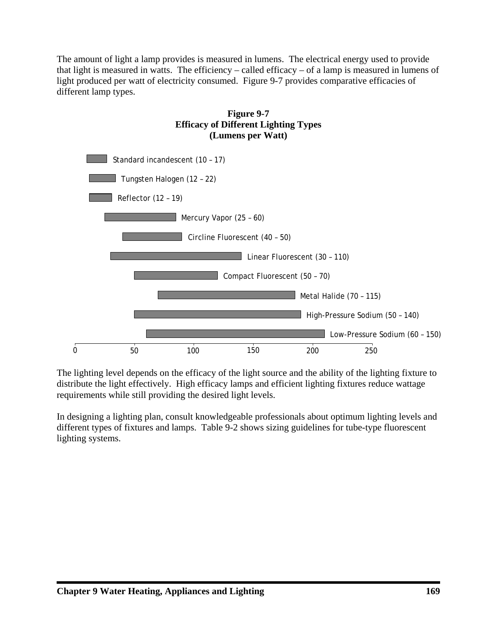The amount of light a lamp provides is measured in lumens. The electrical energy used to provide that light is measured in watts. The efficiency – called efficacy – of a lamp is measured in lumens of light produced per watt of electricity consumed. Figure 9-7 provides comparative efficacies of different lamp types.



The lighting level depends on the efficacy of the light source and the ability of the lighting fixture to distribute the light effectively. High efficacy lamps and efficient lighting fixtures reduce wattage requirements while still providing the desired light levels.

In designing a lighting plan, consult knowledgeable professionals about optimum lighting levels and different types of fixtures and lamps. Table 9-2 shows sizing guidelines for tube-type fluorescent lighting systems.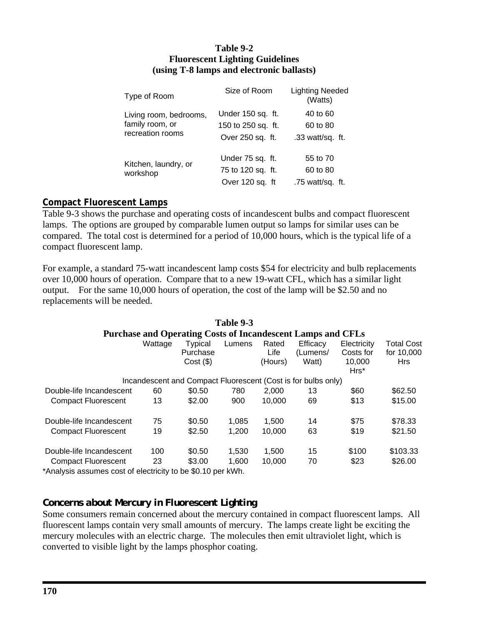#### **Table 9-2 Fluorescent Lighting Guidelines (using T-8 lamps and electronic ballasts)**

| Type of Room                     | Size of Room       | <b>Lighting Needed</b><br>(Watts) |
|----------------------------------|--------------------|-----------------------------------|
| Living room, bedrooms,           | Under 150 sq. ft.  | 40 to 60                          |
| family room, or                  | 150 to 250 sq. ft. | 60 to 80                          |
| recreation rooms                 | Over 250 sq. ft.   | .33 watt/sq. ft.                  |
| Kitchen, laundry, or<br>workshop | Under 75 sq. ft.   | 55 to 70                          |
|                                  | 75 to 120 sq. ft.  | 60 to 80                          |
|                                  | Over 120 sq. ft    | .75 watt/sq. ft.                  |

#### **Compact Fluorescent Lamps**

Table 9-3 shows the purchase and operating costs of incandescent bulbs and compact fluorescent lamps. The options are grouped by comparable lumen output so lamps for similar uses can be compared. The total cost is determined for a period of 10,000 hours, which is the typical life of a compact fluorescent lamp.

For example, a standard 75-watt incandescent lamp costs \$54 for electricity and bulb replacements over 10,000 hours of operation. Compare that to a new 19-watt CFL, which has a similar light output. For the same 10,000 hours of operation, the cost of the lamp will be \$2.50 and no replacements will be needed.

|                                                                  |         |                                    | Table 9-3 |                          |                                                                    |                                               |                                               |
|------------------------------------------------------------------|---------|------------------------------------|-----------|--------------------------|--------------------------------------------------------------------|-----------------------------------------------|-----------------------------------------------|
|                                                                  |         |                                    |           |                          | <b>Purchase and Operating Costs of Incandescent Lamps and CFLs</b> |                                               |                                               |
|                                                                  | Wattage | Typical<br>Purchase<br>$Cost($ \$) | Lumens    | Rated<br>Life<br>(Hours) | Efficacy<br>(Lumens/<br>Watt)                                      | Electricity<br>Costs for<br>10.000<br>$Hrs^*$ | <b>Total Cost</b><br>for 10,000<br><b>Hrs</b> |
|                                                                  |         |                                    |           |                          | Incandescent and Compact Fluorescent (Cost is for bulbs only)      |                                               |                                               |
| Double-life Incandescent                                         | 60      | \$0.50                             | 780       | 2.000                    | 13                                                                 | \$60                                          | \$62.50                                       |
| <b>Compact Fluorescent</b>                                       | 13      | \$2.00                             | 900       | 10.000                   | 69                                                                 | \$13                                          | \$15.00                                       |
| Double-life Incandescent                                         | 75      | \$0.50                             | 1.085     | 1,500                    | 14                                                                 | \$75                                          | \$78.33                                       |
| <b>Compact Fluorescent</b>                                       | 19      | \$2.50                             | 1,200     | 10,000                   | 63                                                                 | \$19                                          | \$21.50                                       |
| Double-life Incandescent                                         | 100     | \$0.50                             | 1,530     | 1,500                    | 15                                                                 | \$100                                         | \$103.33                                      |
| <b>Compact Fluorescent</b>                                       | 23      | \$3.00                             | 1.600     | 10,000                   | 70                                                                 | \$23                                          | \$26.00                                       |
| $*$ Anolusia sesumes sest of electricity to be $*$ 40 nor $111h$ |         |                                    |           |                          |                                                                    |                                               |                                               |

\*Analysis assumes cost of electricity to be \$0.10 per kWh.

#### *Concerns about Mercury in Fluorescent Lighting*

Some consumers remain concerned about the mercury contained in compact fluorescent lamps. All fluorescent lamps contain very small amounts of mercury. The lamps create light be exciting the mercury molecules with an electric charge. The molecules then emit ultraviolet light, which is converted to visible light by the lamps phosphor coating.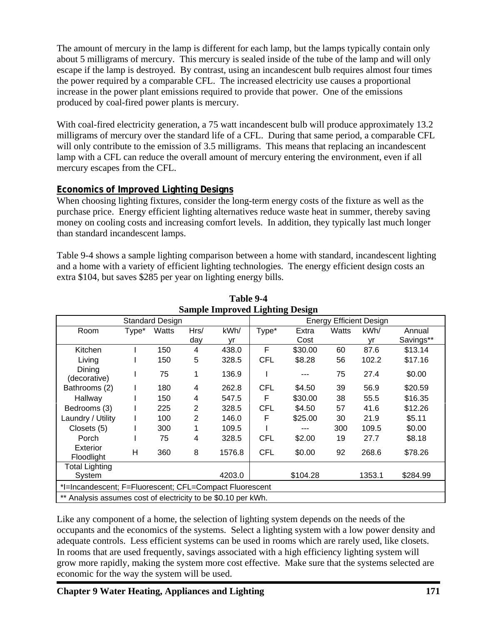The amount of mercury in the lamp is different for each lamp, but the lamps typically contain only about 5 milligrams of mercury. This mercury is sealed inside of the tube of the lamp and will only escape if the lamp is destroyed. By contrast, using an incandescent bulb requires almost four times the power required by a comparable CFL. The increased electricity use causes a proportional increase in the power plant emissions required to provide that power. One of the emissions produced by coal-fired power plants is mercury.

With coal-fired electricity generation, a 75 watt incandescent bulb will produce approximately 13.2 milligrams of mercury over the standard life of a CFL. During that same period, a comparable CFL will only contribute to the emission of 3.5 milligrams. This means that replacing an incandescent lamp with a CFL can reduce the overall amount of mercury entering the environment, even if all mercury escapes from the CFL.

# **Economics of Improved Lighting Designs**

When choosing lighting fixtures, consider the long-term energy costs of the fixture as well as the purchase price. Energy efficient lighting alternatives reduce waste heat in summer, thereby saving money on cooling costs and increasing comfort levels. In addition, they typically last much longer than standard incandescent lamps.

Table 9-4 shows a sample lighting comparison between a home with standard, incandescent lighting and a home with a variety of efficient lighting technologies. The energy efficient design costs an extra \$104, but saves \$285 per year on lighting energy bills.

| Standard Design                                               |       |       |      | ರ<br><b>Energy Efficient Design</b> |            |          |       |        |           |
|---------------------------------------------------------------|-------|-------|------|-------------------------------------|------------|----------|-------|--------|-----------|
| Room                                                          | Type* | Watts | Hrs/ | kWh/                                | Type*      | Extra    | Watts | kWh/   | Annual    |
|                                                               |       |       | day  | vr                                  |            | Cost     |       | vr     | Savings** |
| Kitchen                                                       |       | 150   | 4    | 438.0                               | F          | \$30.00  | 60    | 87.6   | \$13.14   |
| Living                                                        |       | 150   | 5    | 328.5                               | <b>CFL</b> | \$8.28   | 56    | 102.2  | \$17.16   |
| Dinina<br>(decorative)                                        |       | 75    |      | 136.9                               |            |          | 75    | 27.4   | \$0.00    |
| Bathrooms (2)                                                 |       | 180   | 4    | 262.8                               | <b>CFL</b> | \$4.50   | 39    | 56.9   | \$20.59   |
| Hallway                                                       |       | 150   | 4    | 547.5                               | F          | \$30.00  | 38    | 55.5   | \$16.35   |
| Bedrooms (3)                                                  |       | 225   | 2    | 328.5                               | <b>CFL</b> | \$4.50   | 57    | 41.6   | \$12.26   |
| Laundry / Utility                                             |       | 100   | 2    | 146.0                               | F          | \$25.00  | 30    | 21.9   | \$5.11    |
| Closets (5)                                                   |       | 300   |      | 109.5                               |            |          | 300   | 109.5  | \$0.00    |
| Porch                                                         |       | 75    | 4    | 328.5                               | <b>CFL</b> | \$2.00   | 19    | 27.7   | \$8.18    |
| Exterior<br>Floodlight                                        | H     | 360   | 8    | 1576.8                              | <b>CFL</b> | \$0.00   | 92    | 268.6  | \$78.26   |
| <b>Total Lighting</b>                                         |       |       |      |                                     |            |          |       |        |           |
| System                                                        |       |       |      | 4203.0                              |            | \$104.28 |       | 1353.1 | \$284.99  |
| *I=Incandescent; F=Fluorescent; CFL=Compact Fluorescent       |       |       |      |                                     |            |          |       |        |           |
| ** Analysis assumes cost of electricity to be \$0.10 per kWh. |       |       |      |                                     |            |          |       |        |           |

#### **Table 9-4 Sample Improved Lighting Design**

Like any component of a home, the selection of lighting system depends on the needs of the occupants and the economics of the systems. Select a lighting system with a low power density and adequate controls. Less efficient systems can be used in rooms which are rarely used, like closets. In rooms that are used frequently, savings associated with a high efficiency lighting system will grow more rapidly, making the system more cost effective. Make sure that the systems selected are economic for the way the system will be used.